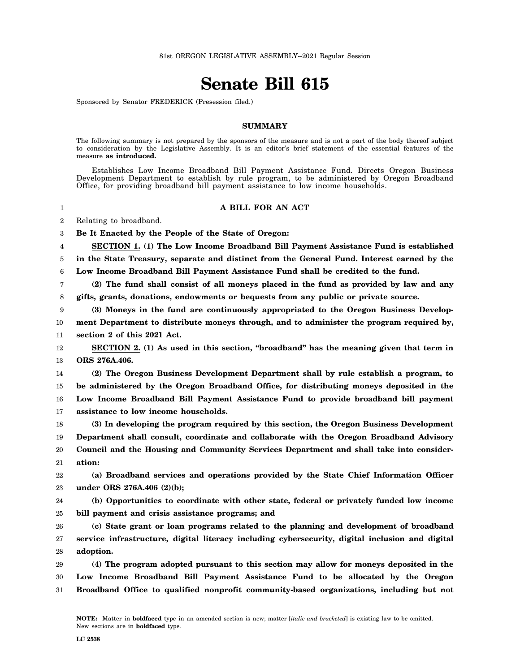## **Senate Bill 615**

Sponsored by Senator FREDERICK (Presession filed.)

## **SUMMARY**

The following summary is not prepared by the sponsors of the measure and is not a part of the body thereof subject to consideration by the Legislative Assembly. It is an editor's brief statement of the essential features of the measure **as introduced.**

Establishes Low Income Broadband Bill Payment Assistance Fund. Directs Oregon Business Development Department to establish by rule program, to be administered by Oregon Broadband Office, for providing broadband bill payment assistance to low income households.

## **A BILL FOR AN ACT**

2 Relating to broadband.

1

3 **Be It Enacted by the People of the State of Oregon:**

4 5 6 **SECTION 1. (1) The Low Income Broadband Bill Payment Assistance Fund is established in the State Treasury, separate and distinct from the General Fund. Interest earned by the Low Income Broadband Bill Payment Assistance Fund shall be credited to the fund.**

7 8 **(2) The fund shall consist of all moneys placed in the fund as provided by law and any gifts, grants, donations, endowments or bequests from any public or private source.**

9 10 **(3) Moneys in the fund are continuously appropriated to the Oregon Business Development Department to distribute moneys through, and to administer the program required by,**

11 **section 2 of this 2021 Act.**

12 13 **SECTION 2. (1) As used in this section, "broadband" has the meaning given that term in ORS 276A.406.**

14 15 16 17 **(2) The Oregon Business Development Department shall by rule establish a program, to be administered by the Oregon Broadband Office, for distributing moneys deposited in the Low Income Broadband Bill Payment Assistance Fund to provide broadband bill payment assistance to low income households.**

18 19 20 21 **(3) In developing the program required by this section, the Oregon Business Development Department shall consult, coordinate and collaborate with the Oregon Broadband Advisory Council and the Housing and Community Services Department and shall take into consideration:**

22 23 **(a) Broadband services and operations provided by the State Chief Information Officer under ORS 276A.406 (2)(b);**

24 25 **(b) Opportunities to coordinate with other state, federal or privately funded low income bill payment and crisis assistance programs; and**

26 27 28 **(c) State grant or loan programs related to the planning and development of broadband service infrastructure, digital literacy including cybersecurity, digital inclusion and digital adoption.**

29 30 31 **(4) The program adopted pursuant to this section may allow for moneys deposited in the Low Income Broadband Bill Payment Assistance Fund to be allocated by the Oregon Broadband Office to qualified nonprofit community-based organizations, including but not**